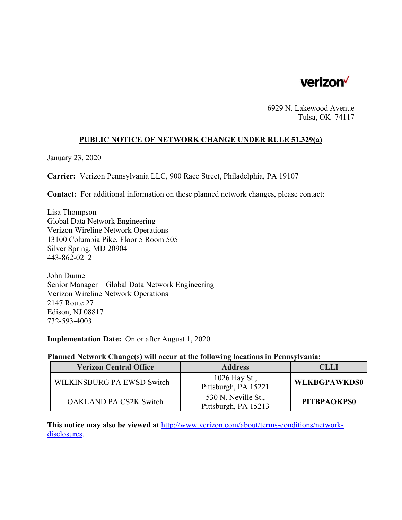

6929 N. Lakewood Avenue Tulsa, OK 74117

# **PUBLIC NOTICE OF NETWORK CHANGE UNDER RULE 51.329(a)**

January 23, 2020

**Carrier:** Verizon Pennsylvania LLC, 900 Race Street, Philadelphia, PA 19107

**Contact:** For additional information on these planned network changes, please contact:

Lisa Thompson Global Data Network Engineering Verizon Wireline Network Operations 13100 Columbia Pike, Floor 5 Room 505 Silver Spring, MD 20904 443-862-0212

John Dunne Senior Manager – Global Data Network Engineering Verizon Wireline Network Operations 2147 Route 27 Edison, NJ 08817 732-593-4003

**Implementation Date:** On or after August 1, 2020

#### **Planned Network Change(s) will occur at the following locations in Pennsylvania:**

| <b>Verizon Central Office</b> | <b>Address</b>                              | <b>CLLI</b>         |
|-------------------------------|---------------------------------------------|---------------------|
| WILKINSBURG PA EWSD Switch    | 1026 Hay St.,<br>Pittsburgh, PA 15221       | <b>WLKBGPAWKDS0</b> |
| <b>OAKLAND PA CS2K Switch</b> | 530 N. Neville St.,<br>Pittsburgh, PA 15213 | PITBPAOKPS0         |

**This notice may also be viewed at** http://www.verizon.com/about/terms-conditions/networkdisclosures.